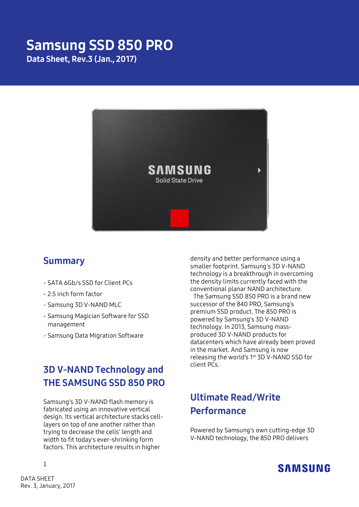# Samsung SSD 850 PRO

Data Sheet, Rev.3 (Jan., 2017)



### Summary

- SATA 6Gb/s SSD for Client PCs
- 2.5 inch form factor
- Samsung 3D V-NAND MLC
- Samsung Magician Software for SSD management
- Samsung Data Migration Software

# 3D V-NAND Technology and THE SAMSUNG SSD 850 PRO

Samsung's 3D V-NAND flash memory is fabricated using an innovative vertical design. Its vertical architecture stacks celllayers on top of one another rather than trying to decrease the cells' length and width to fit today's ever-shrinking form factors. This architecture results in higher

density and better performance using a smaller footprint. Samsung's 3D V-NAND technology is a breakthrough in overcoming the density limits currently faced with the conventional planar NAND architecture.

The Samsung SSD 850 PRO is a brand new successor of the 840 PRO, Samsung's premium SSD product. The 850 PRO is powered by Samsung's 3D V-NAND technology. In 2013, Samsung massproduced 3D V-NAND products for datacenters which have already been proved in the market. And Samsung is now releasing the world's 1<sup>st</sup> 3D V-NAND SSD for client PCs.

# Ultimate Read/Write **Performance**

Powered by Samsung's own cutting-edge 3D V-NAND technology, the 850 PRO delivers



1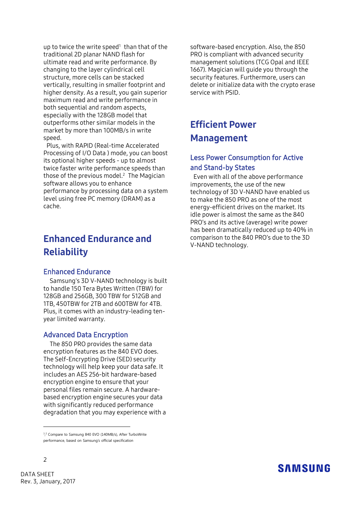up to twice the write speed $1$  than that of the traditional 2D planar NAND flash for ultimate read and write performance. By changing to the layer cylindrical cell structure, more cells can be stacked vertically, resulting in smaller footprint and higher density. As a result, you gain superior maximum read and write performance in both sequential and random aspects, especially with the 128GB model that outperforms other similar models in the market by more than 100MB/s in write speed.

Plus, with RAPID (Real-time Accelerated Processing of I/O Data ) mode, you can boost its optional higher speeds - up to almost twice faster write performance speeds than those of the previous model.<sup>2</sup> The Magician software allows you to enhance performance by processing data on a system level using free PC memory (DRAM) as a cache.

# Enhanced Endurance and **Reliability**

#### Enhanced Endurance

Samsung's 3D V-NAND technology is built to handle 150 Tera Bytes Written (TBW) for 128GB and 256GB, 300 TBW for 512GB and 1TB, 450TBW for 2TB and 600TBW for 4TB. Plus, it comes with an industry-leading tenyear limited warranty.

#### Advanced Data Encryption

The 850 PRO provides the same data encryption features as the 840 EVO does. The Self-Encrypting Drive (SED) security technology will help keep your data safe. It includes an AES 256-bit hardware-based encryption engine to ensure that your personal files remain secure. A hardwarebased encryption engine secures your data with significantly reduced performance degradation that you may experience with a software-based encryption. Also, the 850 PRO is compliant with advanced security management solutions (TCG Opal and IEEE 1667). Magician will guide you through the security features. Furthermore, users can delete or initialize data with the crypto erase service with PSID.

### Efficient Power Management

#### Less Power Consumption for Active and Stand-by States

Even with all of the above performance improvements, the use of the new technology of 3D V-NAND have enabled us to make the 850 PRO as one of the most energy-efficient drives on the market. Its idle power is almost the same as the 840 PRO's and its active (average) write power has been dramatically reduced up to 40% in comparison to the 840 PRO's due to the 3D V-NAND technology.

### **SAMSUNG**

-

<sup>&</sup>lt;sup>1,2</sup> Compare to Samsung 840 EVO (140MB/s), After TurboWrite performance, based on Samsung's official specification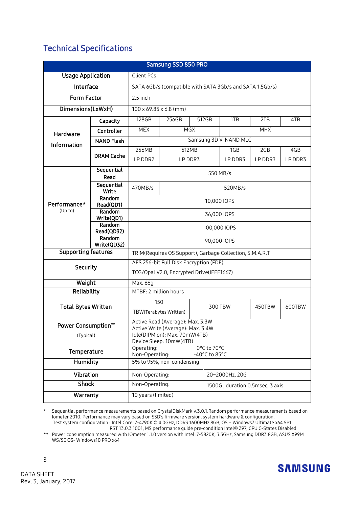### Technical Specifications

| Samsung SSD 850 PRO              |                                                          |                                                                       |                          |       |         |         |         |  |
|----------------------------------|----------------------------------------------------------|-----------------------------------------------------------------------|--------------------------|-------|---------|---------|---------|--|
| <b>Usage Application</b>         |                                                          | <b>Client PCs</b>                                                     |                          |       |         |         |         |  |
| Interface                        |                                                          | SATA 6Gb/s (compatible with SATA 3Gb/s and SATA 1.5Gb/s)              |                          |       |         |         |         |  |
| Form Factor                      |                                                          | 2.5 inch                                                              |                          |       |         |         |         |  |
| Dimensions(LxWxH)                |                                                          | 100 x 69.85 x 6.8 (mm)                                                |                          |       |         |         |         |  |
| Hardware<br>Information          | Capacity                                                 | 128GB                                                                 | 256GB                    | 512GB | 1TB     | 2TB     | 4TB     |  |
|                                  | Controller                                               | <b>MEX</b>                                                            | <b>MHX</b><br><b>MGX</b> |       |         |         |         |  |
|                                  | <b>NAND Flash</b>                                        | Samsung 3D V-NAND MLC                                                 |                          |       |         |         |         |  |
|                                  | <b>DRAM Cache</b>                                        | 256MB                                                                 | 512MB                    |       | 1GB     | 2GB     | 4GB     |  |
|                                  |                                                          | LP DDR2                                                               | LP DDR3                  |       | LP DDR3 | LP DDR3 | LP DDR3 |  |
| Performance*<br>(Up to)          | Sequential<br>Read                                       | 550 MB/s                                                              |                          |       |         |         |         |  |
|                                  | Sequential                                               | 470MB/s<br>520MB/s                                                    |                          |       |         |         |         |  |
|                                  | Write<br>Random                                          |                                                                       |                          |       |         |         |         |  |
|                                  | Read(QD1)                                                | 10,000 IOPS                                                           |                          |       |         |         |         |  |
|                                  | Random<br>Write(QD1)                                     | 36,000 IOPS                                                           |                          |       |         |         |         |  |
|                                  | Random<br>Read(QD32)                                     | 100,000 IOPS                                                          |                          |       |         |         |         |  |
|                                  | Random<br>Write(QD32)                                    | 90,000 IOPS                                                           |                          |       |         |         |         |  |
| <b>Supporting features</b>       | TRIM(Requires OS Support), Garbage Collection, S.M.A.R.T |                                                                       |                          |       |         |         |         |  |
| <b>Security</b>                  |                                                          | AES 256-bit Full Disk Encryption (FDE)                                |                          |       |         |         |         |  |
|                                  |                                                          | TCG/Opal V2.0, Encrypted Drive(IEEE1667)                              |                          |       |         |         |         |  |
| Weight                           |                                                          | Max. 66g                                                              |                          |       |         |         |         |  |
| Reliability                      |                                                          | MTBF: 2 million hours                                                 |                          |       |         |         |         |  |
| <b>Total Bytes Written</b>       |                                                          |                                                                       | 150<br>300 TBW           |       |         | 450TBW  | 600TBW  |  |
|                                  |                                                          |                                                                       | TBW(Terabytes Written)   |       |         |         |         |  |
| Power Consumption**<br>(Typical) |                                                          | Active Read (Average): Max. 3.3W<br>Active Write (Average): Max. 3.4W |                          |       |         |         |         |  |
|                                  |                                                          | Idle(DIPM on): Max. 70mW(4TB)                                         |                          |       |         |         |         |  |
| Temperature                      |                                                          | Device Sleep: 10mW(4TB)<br>0°C to 70°C<br>Operating:                  |                          |       |         |         |         |  |
| Humidity                         |                                                          | Non-Operating:<br>-40°C to 85°C<br>5% to 95%, non-condensing          |                          |       |         |         |         |  |
|                                  |                                                          |                                                                       |                          |       |         |         |         |  |
| Vibration<br><b>Shock</b>        |                                                          | Non-Operating:<br>20~2000Hz, 20G                                      |                          |       |         |         |         |  |
|                                  |                                                          | Non-Operating:<br>1500G, duration 0.5msec, 3 axis                     |                          |       |         |         |         |  |
| Warranty                         |                                                          | 10 years (limited)                                                    |                          |       |         |         |         |  |

\* Sequential performance measurements based on CrystalDiskMark v.3.0.1.Random performance measurements based on Iometer 2010. Performance may vary based on SSD's firmware version, system hardware & configuration. Test system configuration : Intel Core i7-4790K @ 4.0GHz, DDR3 1600MHz 8GB, OS – Windows7 Ultimate x64 SP1

 IRST 13.0.3.1001, MS performance guide pre-condition Intel® Z97, CPU C-States Disabled \*\* Power consumption measured with IOmeter 1.1.0 version with Intel i7-5820K, 3.3GHz, Samsung DDR3 8GB, ASUS X99M WS/SE OS- Windows10 PRO x64



3